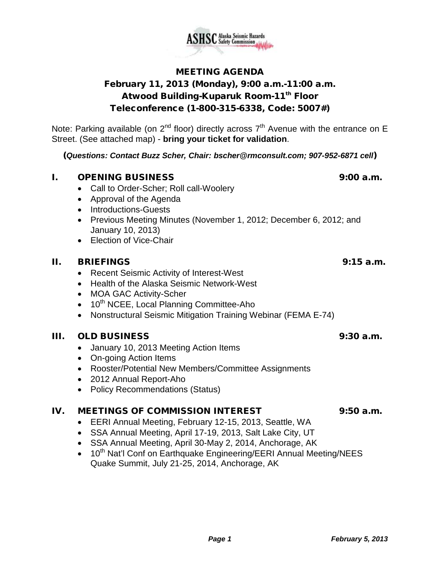

MEETING AGENDA February 11, 2013 (Monday), 9:00 a.m.-11:00 a.m. Atwood Building-Kuparuk Room-11<sup>th</sup> Floor Teleconference (1-800-315-6338, Code: 5007#)

Note: Parking available (on  $2^{nd}$  floor) directly across  $7^{th}$  Avenue with the entrance on E Street. (See attached map) - **bring your ticket for validation**.

(*Questions: Contact Buzz Scher, Chair: [bscher@rmconsult.com;](mailto:bscher@rmconsult.com) 907-952-6871 cell*)

## **I.** OPENING BUSINESS 9:00 a.m.

- Call to Order-Scher; Roll call-Woolery
- Approval of the Agenda
- Introductions-Guests
- Previous Meeting Minutes (November 1, 2012; December 6, 2012; and January 10, 2013)
- Election of Vice-Chair

## II. BRIEFINGS 9:15 a.m.

- Recent Seismic Activity of Interest-West
- Health of the Alaska Seismic Network-West
- MOA GAC Activity-Scher
- 10<sup>th</sup> NCEE, Local Planning Committee-Aho
- Nonstructural Seismic Mitigation Training Webinar (FEMA E-74)

# III. OLD BUSINESS 9:30 a.m.

- January 10, 2013 Meeting Action Items
- On-going Action Items
- Rooster/Potential New Members/Committee Assignments
- 2012 Annual Report-Aho
- Policy Recommendations (Status)

# IV. MEETINGS OF COMMISSION INTEREST 9:50 a.m.

- EERI Annual Meeting, February 12-15, 2013, Seattle, WA
- SSA Annual Meeting, April 17-19, 2013, Salt Lake City, UT
- SSA Annual Meeting, April 30-May 2, 2014, Anchorage, AK
- 10<sup>th</sup> Nat'l Conf on Earthquake Engineering/EERI Annual Meeting/NEES Quake Summit, July 21-25, 2014, Anchorage, AK

# **SC** Alaska Seismic Hazards